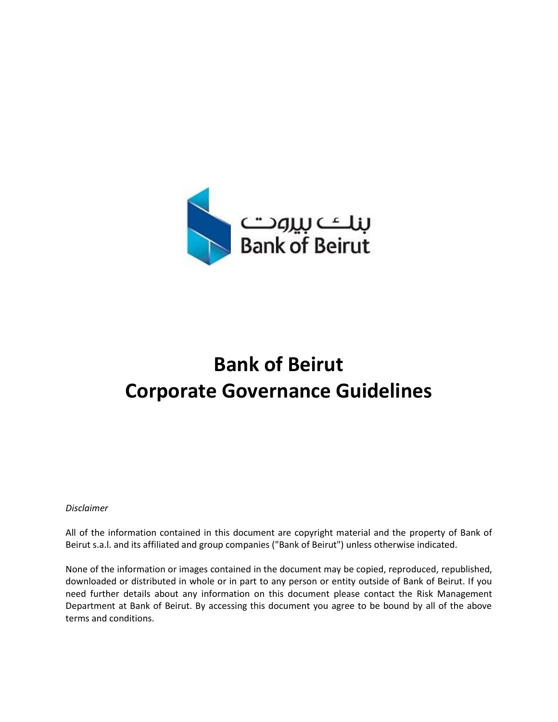

# **Bank of Beirut Corporate Governance Guidelines**

#### *Disclaimer*

All of the information contained in this document are copyright material and the property of Bank of Beirut s.a.l. and its affiliated and group companies ("Bank of Beirut") unless otherwise indicated.

None of the information or images contained in the document may be copied, reproduced, republished, downloaded or distributed in whole or in part to any person or entity outside of Bank of Beirut. If you need further details about any information on this document please contact the Risk Management Department at Bank of Beirut. By accessing this document you agree to be bound by all of the above terms and conditions.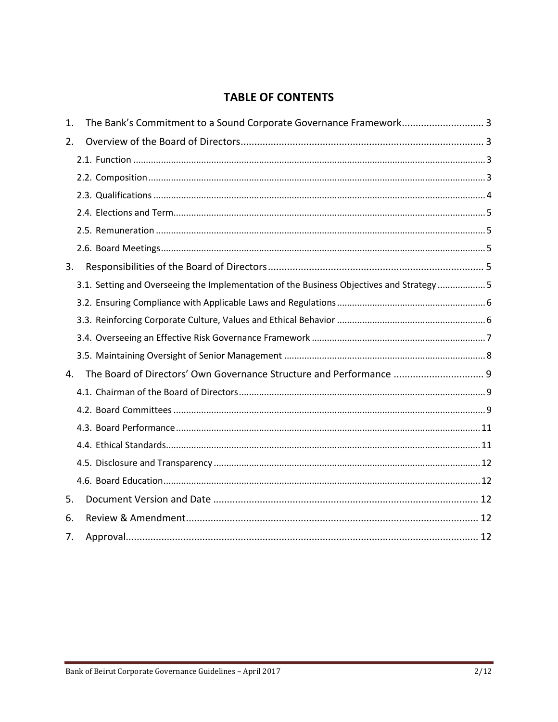# **TABLE OF CONTENTS**

| The Bank's Commitment to a Sound Corporate Governance Framework 3<br>1.                  |
|------------------------------------------------------------------------------------------|
| 2.                                                                                       |
|                                                                                          |
|                                                                                          |
|                                                                                          |
|                                                                                          |
|                                                                                          |
|                                                                                          |
| 3.                                                                                       |
| 3.1. Setting and Overseeing the Implementation of the Business Objectives and Strategy 5 |
|                                                                                          |
|                                                                                          |
|                                                                                          |
|                                                                                          |
| The Board of Directors' Own Governance Structure and Performance  9<br>4.                |
|                                                                                          |
|                                                                                          |
|                                                                                          |
|                                                                                          |
|                                                                                          |
|                                                                                          |
| 5.                                                                                       |
| 6.                                                                                       |
| 7.                                                                                       |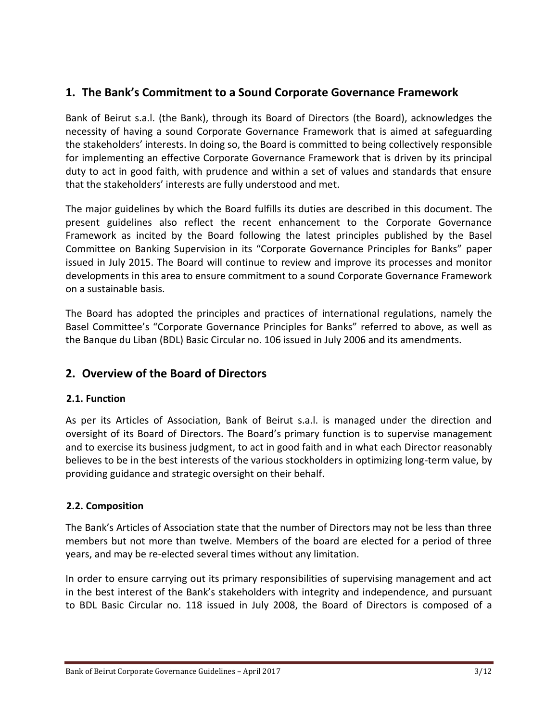# <span id="page-2-0"></span>**1. The Bank's Commitment to a Sound Corporate Governance Framework**

Bank of Beirut s.a.l. (the Bank), through its Board of Directors (the Board), acknowledges the necessity of having a sound Corporate Governance Framework that is aimed at safeguarding the stakeholders' interests. In doing so, the Board is committed to being collectively responsible for implementing an effective Corporate Governance Framework that is driven by its principal duty to act in good faith, with prudence and within a set of values and standards that ensure that the stakeholders' interests are fully understood and met.

The major guidelines by which the Board fulfills its duties are described in this document. The present guidelines also reflect the recent enhancement to the Corporate Governance Framework as incited by the Board following the latest principles published by the Basel Committee on Banking Supervision in its "Corporate Governance Principles for Banks" paper issued in July 2015. The Board will continue to review and improve its processes and monitor developments in this area to ensure commitment to a sound Corporate Governance Framework on a sustainable basis.

The Board has adopted the principles and practices of international regulations, namely the Basel Committee's "Corporate Governance Principles for Banks" referred to above, as well as the Banque du Liban (BDL) Basic Circular no. 106 issued in July 2006 and its amendments.

## <span id="page-2-1"></span>**2. Overview of the Board of Directors**

#### <span id="page-2-2"></span>**2.1. Function**

As per its Articles of Association, Bank of Beirut s.a.l. is managed under the direction and oversight of its Board of Directors. The Board's primary function is to supervise management and to exercise its business judgment, to act in good faith and in what each Director reasonably believes to be in the best interests of the various stockholders in optimizing long-term value, by providing guidance and strategic oversight on their behalf.

#### <span id="page-2-3"></span>**2.2. Composition**

The Bank's Articles of Association state that the number of Directors may not be less than three members but not more than twelve. Members of the board are elected for a period of three years, and may be re-elected several times without any limitation.

In order to ensure carrying out its primary responsibilities of supervising management and act in the best interest of the Bank's stakeholders with integrity and independence, and pursuant to BDL Basic Circular no. 118 issued in July 2008, the Board of Directors is composed of a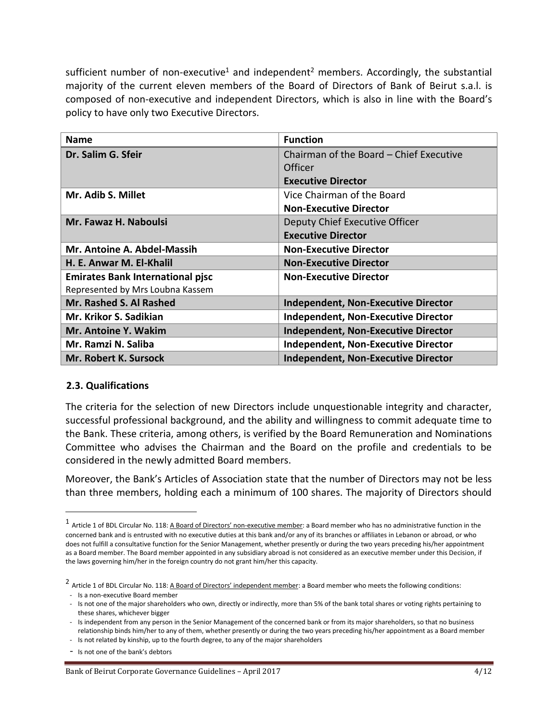sufficient number of non-executive<sup>1</sup> and independent<sup>2</sup> members. Accordingly, the substantial majority of the current eleven members of the Board of Directors of Bank of Beirut s.a.l. is composed of non-executive and independent Directors, which is also in line with the Board's policy to have only two Executive Directors.

| <b>Name</b>                             | <b>Function</b>                            |
|-----------------------------------------|--------------------------------------------|
| Dr. Salim G. Sfeir                      | Chairman of the Board - Chief Executive    |
|                                         | <b>Officer</b>                             |
|                                         | <b>Executive Director</b>                  |
| Mr. Adib S. Millet                      | Vice Chairman of the Board                 |
|                                         | <b>Non-Executive Director</b>              |
| Mr. Fawaz H. Naboulsi                   | Deputy Chief Executive Officer             |
|                                         | <b>Executive Director</b>                  |
| Mr. Antoine A. Abdel-Massih             | <b>Non-Executive Director</b>              |
| H. E. Anwar M. El-Khalil                | <b>Non-Executive Director</b>              |
| <b>Emirates Bank International pjsc</b> | <b>Non-Executive Director</b>              |
| Represented by Mrs Loubna Kassem        |                                            |
| <b>Mr. Rashed S. Al Rashed</b>          | <b>Independent, Non-Executive Director</b> |
| Mr. Krikor S. Sadikian                  | <b>Independent, Non-Executive Director</b> |
| Mr. Antoine Y. Wakim                    | <b>Independent, Non-Executive Director</b> |
| Mr. Ramzi N. Saliba                     | <b>Independent, Non-Executive Director</b> |
| Mr. Robert K. Sursock                   | <b>Independent, Non-Executive Director</b> |

#### <span id="page-3-0"></span>**2.3. Qualifications**

 $\overline{a}$ 

The criteria for the selection of new Directors include unquestionable integrity and character, successful professional background, and the ability and willingness to commit adequate time to the Bank. These criteria, among others, is verified by the Board Remuneration and Nominations Committee who advises the Chairman and the Board on the profile and credentials to be considered in the newly admitted Board members.

Moreover, the Bank's Articles of Association state that the number of Directors may not be less than three members, holding each a minimum of 100 shares. The majority of Directors should

<sup>&</sup>lt;sup>1</sup> Article 1 of BDL Circular No. 118: <u>A Board of Directors' non-executive member</u>: a Board member who has no administrative function in the concerned bank and is entrusted with no executive duties at this bank and/or any of its branches or affiliates in Lebanon or abroad, or who does not fulfill a consultative function for the Senior Management, whether presently or during the two years preceding his/her appointment as a Board member. The Board member appointed in any subsidiary abroad is not considered as an executive member under this Decision, if the laws governing him/her in the foreign country do not grant him/her this capacity.

<sup>&</sup>lt;sup>2</sup> Article 1 of BDL Circular No. 118: A Board of Directors' independent member: a Board member who meets the following conditions:

<sup>-</sup> Is a non-executive Board member

<sup>-</sup> Is not one of the major shareholders who own, directly or indirectly, more than 5% of the bank total shares or voting rights pertaining to these shares, whichever bigger

<sup>-</sup> Is independent from any person in the Senior Management of the concerned bank or from its major shareholders, so that no business relationship binds him/her to any of them, whether presently or during the two years preceding his/her appointment as a Board member

<sup>-</sup> Is not related by kinship, up to the fourth degree, to any of the major shareholders

<sup>-</sup> Is not one of the bank's debtors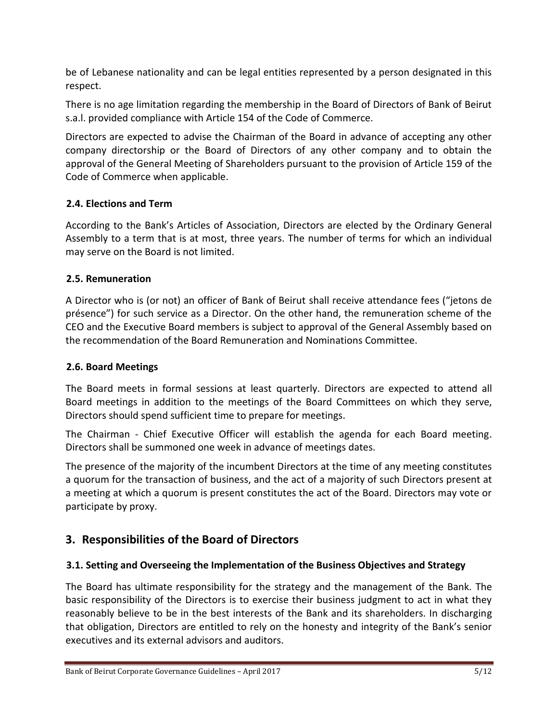be of Lebanese nationality and can be legal entities represented by a person designated in this respect.

There is no age limitation regarding the membership in the Board of Directors of Bank of Beirut s.a.l. provided compliance with Article 154 of the Code of Commerce.

Directors are expected to advise the Chairman of the Board in advance of accepting any other company directorship or the Board of Directors of any other company and to obtain the approval of the General Meeting of Shareholders pursuant to the provision of Article 159 of the Code of Commerce when applicable.

## <span id="page-4-0"></span>**2.4. Elections and Term**

According to the Bank's Articles of Association, Directors are elected by the Ordinary General Assembly to a term that is at most, three years. The number of terms for which an individual may serve on the Board is not limited.

## <span id="page-4-1"></span>**2.5. Remuneration**

A Director who is (or not) an officer of Bank of Beirut shall receive attendance fees ("jetons de présence") for such service as a Director. On the other hand, the remuneration scheme of the CEO and the Executive Board members is subject to approval of the General Assembly based on the recommendation of the Board Remuneration and Nominations Committee.

## <span id="page-4-2"></span>**2.6. Board Meetings**

The Board meets in formal sessions at least quarterly. Directors are expected to attend all Board meetings in addition to the meetings of the Board Committees on which they serve, Directors should spend sufficient time to prepare for meetings.

The Chairman - Chief Executive Officer will establish the agenda for each Board meeting. Directors shall be summoned one week in advance of meetings dates.

The presence of the majority of the incumbent Directors at the time of any meeting constitutes a quorum for the transaction of business, and the act of a majority of such Directors present at a meeting at which a quorum is present constitutes the act of the Board. Directors may vote or participate by proxy.

# <span id="page-4-3"></span>**3. Responsibilities of the Board of Directors**

## <span id="page-4-4"></span>**3.1. Setting and Overseeing the Implementation of the Business Objectives and Strategy**

The Board has ultimate responsibility for the strategy and the management of the Bank. The basic responsibility of the Directors is to exercise their business judgment to act in what they reasonably believe to be in the best interests of the Bank and its shareholders. In discharging that obligation, Directors are entitled to rely on the honesty and integrity of the Bank's senior executives and its external advisors and auditors.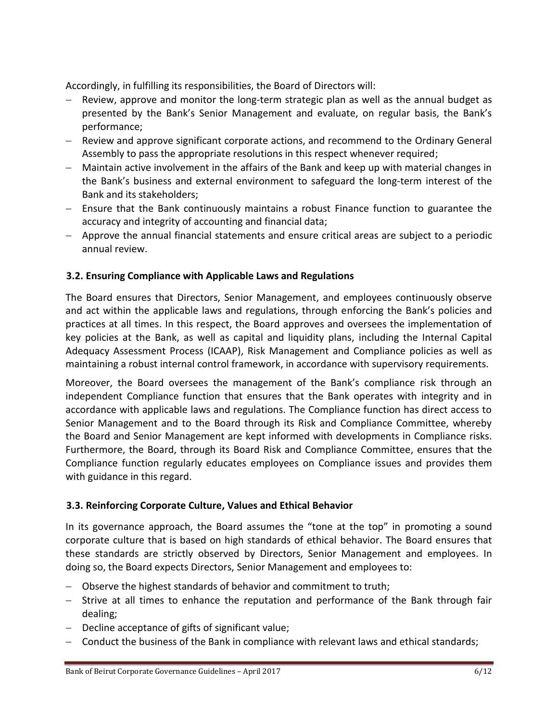Accordingly, in fulfilling its responsibilities, the Board of Directors will:

- Review, approve and monitor the long-term strategic plan as well as the annual budget as presented by the Bank's Senior Management and evaluate, on regular basis, the Bank's performance;
- Review and approve significant corporate actions, and recommend to the Ordinary General Assembly to pass the appropriate resolutions in this respect whenever required;
- Maintain active involvement in the affairs of the Bank and keep up with material changes in the Bank's business and external environment to safeguard the long-term interest of the Bank and its stakeholders;
- Ensure that the Bank continuously maintains a robust Finance function to guarantee the accuracy and integrity of accounting and financial data;
- Approve the annual financial statements and ensure critical areas are subject to a periodic annual review.

## <span id="page-5-0"></span>**3.2. Ensuring Compliance with Applicable Laws and Regulations**

The Board ensures that Directors, Senior Management, and employees continuously observe and act within the applicable laws and regulations, through enforcing the Bank's policies and practices at all times. In this respect, the Board approves and oversees the implementation of key policies at the Bank, as well as capital and liquidity plans, including the Internal Capital Adequacy Assessment Process (ICAAP), Risk Management and Compliance policies as well as maintaining a robust internal control framework, in accordance with supervisory requirements.

Moreover, the Board oversees the management of the Bank's compliance risk through an independent Compliance function that ensures that the Bank operates with integrity and in accordance with applicable laws and regulations. The Compliance function has direct access to Senior Management and to the Board through its Risk and Compliance Committee, whereby the Board and Senior Management are kept informed with developments in Compliance risks. Furthermore, the Board, through its Board Risk and Compliance Committee, ensures that the Compliance function regularly educates employees on Compliance issues and provides them with guidance in this regard.

#### <span id="page-5-1"></span>**3.3. Reinforcing Corporate Culture, Values and Ethical Behavior**

In its governance approach, the Board assumes the "tone at the top" in promoting a sound corporate culture that is based on high standards of ethical behavior. The Board ensures that these standards are strictly observed by Directors, Senior Management and employees. In doing so, the Board expects Directors, Senior Management and employees to:

- Observe the highest standards of behavior and commitment to truth;
- Strive at all times to enhance the reputation and performance of the Bank through fair dealing;
- Decline acceptance of gifts of significant value;
- Conduct the business of the Bank in compliance with relevant laws and ethical standards;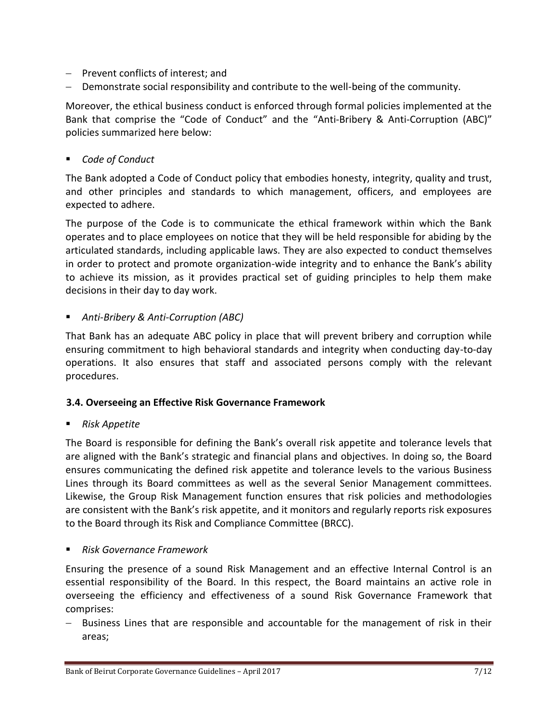- $-$  Prevent conflicts of interest; and
- Demonstrate social responsibility and contribute to the well-being of the community.

Moreover, the ethical business conduct is enforced through formal policies implemented at the Bank that comprise the "Code of Conduct" and the "Anti-Bribery & Anti-Corruption (ABC)" policies summarized here below:

#### *Code of Conduct*

The Bank adopted a Code of Conduct policy that embodies honesty, integrity, quality and trust, and other principles and standards to which management, officers, and employees are expected to adhere.

The purpose of the Code is to communicate the ethical framework within which the Bank operates and to place employees on notice that they will be held responsible for abiding by the articulated standards, including applicable laws. They are also expected to conduct themselves in order to protect and promote organization-wide integrity and to enhance the Bank's ability to achieve its mission, as it provides practical set of guiding principles to help them make decisions in their day to day work.

## *Anti-Bribery & Anti-Corruption (ABC)*

That Bank has an adequate ABC policy in place that will prevent bribery and corruption while ensuring commitment to high behavioral standards and integrity when conducting day-to-day operations. It also ensures that staff and associated persons comply with the relevant procedures.

#### <span id="page-6-0"></span>**3.4. Overseeing an Effective Risk Governance Framework**

#### *Risk Appetite*

The Board is responsible for defining the Bank's overall risk appetite and tolerance levels that are aligned with the Bank's strategic and financial plans and objectives. In doing so, the Board ensures communicating the defined risk appetite and tolerance levels to the various Business Lines through its Board committees as well as the several Senior Management committees. Likewise, the Group Risk Management function ensures that risk policies and methodologies are consistent with the Bank's risk appetite, and it monitors and regularly reports risk exposures to the Board through its Risk and Compliance Committee (BRCC).

#### *Risk Governance Framework*

Ensuring the presence of a sound Risk Management and an effective Internal Control is an essential responsibility of the Board. In this respect, the Board maintains an active role in overseeing the efficiency and effectiveness of a sound Risk Governance Framework that comprises:

- Business Lines that are responsible and accountable for the management of risk in their areas;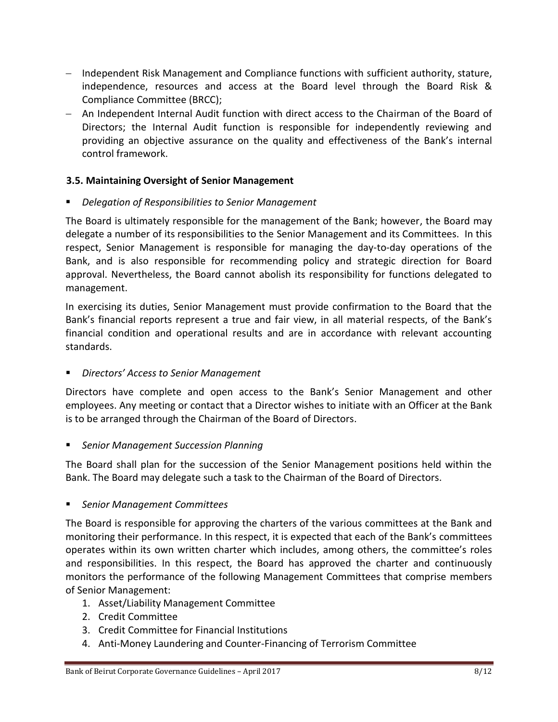- Independent Risk Management and Compliance functions with sufficient authority, stature, independence, resources and access at the Board level through the Board Risk & Compliance Committee (BRCC);
- An Independent Internal Audit function with direct access to the Chairman of the Board of Directors; the Internal Audit function is responsible for independently reviewing and providing an objective assurance on the quality and effectiveness of the Bank's internal control framework.

## <span id="page-7-0"></span>**3.5. Maintaining Oversight of Senior Management**

*Delegation of Responsibilities to Senior Management*

The Board is ultimately responsible for the management of the Bank; however, the Board may delegate a number of its responsibilities to the Senior Management and its Committees. In this respect, Senior Management is responsible for managing the day-to-day operations of the Bank, and is also responsible for recommending policy and strategic direction for Board approval. Nevertheless, the Board cannot abolish its responsibility for functions delegated to management.

In exercising its duties, Senior Management must provide confirmation to the Board that the Bank's financial reports represent a true and fair view, in all material respects, of the Bank's financial condition and operational results and are in accordance with relevant accounting standards.

## *Directors' Access to Senior Management*

Directors have complete and open access to the Bank's Senior Management and other employees. Any meeting or contact that a Director wishes to initiate with an Officer at the Bank is to be arranged through the Chairman of the Board of Directors.

#### *Senior Management Succession Planning*

The Board shall plan for the succession of the Senior Management positions held within the Bank. The Board may delegate such a task to the Chairman of the Board of Directors.

#### *Senior Management Committees*

The Board is responsible for approving the charters of the various committees at the Bank and monitoring their performance. In this respect, it is expected that each of the Bank's committees operates within its own written charter which includes, among others, the committee's roles and responsibilities. In this respect, the Board has approved the charter and continuously monitors the performance of the following Management Committees that comprise members of Senior Management:

- 1. Asset/Liability Management Committee
- 2. Credit Committee
- 3. Credit Committee for Financial Institutions
- 4. Anti-Money Laundering and Counter-Financing of Terrorism Committee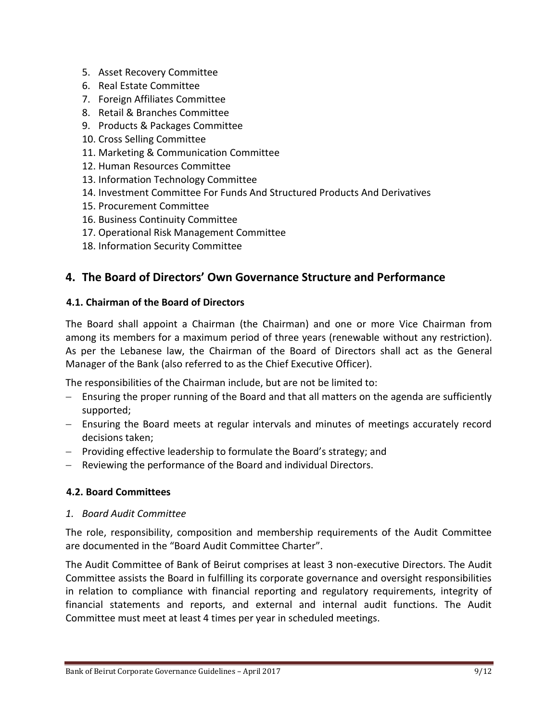- 5. Asset Recovery Committee
- 6. Real Estate Committee
- 7. Foreign Affiliates Committee
- 8. Retail & Branches Committee
- 9. Products & Packages Committee
- 10. Cross Selling Committee
- 11. Marketing & Communication Committee
- 12. Human Resources Committee
- 13. Information Technology Committee
- 14. Investment Committee For Funds And Structured Products And Derivatives
- 15. Procurement Committee
- 16. Business Continuity Committee
- 17. Operational Risk Management Committee
- 18. Information Security Committee

# <span id="page-8-0"></span>**4. The Board of Directors' Own Governance Structure and Performance**

#### <span id="page-8-1"></span>**4.1. Chairman of the Board of Directors**

The Board shall appoint a Chairman (the Chairman) and one or more Vice Chairman from among its members for a maximum period of three years (renewable without any restriction). As per the Lebanese law, the Chairman of the Board of Directors shall act as the General Manager of the Bank (also referred to as the Chief Executive Officer).

The responsibilities of the Chairman include, but are not be limited to:

- Ensuring the proper running of the Board and that all matters on the agenda are sufficiently supported;
- Ensuring the Board meets at regular intervals and minutes of meetings accurately record decisions taken;
- Providing effective leadership to formulate the Board's strategy; and
- Reviewing the performance of the Board and individual Directors.

#### <span id="page-8-2"></span>**4.2. Board Committees**

#### *1. Board Audit Committee*

The role, responsibility, composition and membership requirements of the Audit Committee are documented in the "Board Audit Committee Charter".

The Audit Committee of Bank of Beirut comprises at least 3 non-executive Directors. The Audit Committee assists the Board in fulfilling its corporate governance and oversight responsibilities in relation to compliance with financial reporting and regulatory requirements, integrity of financial statements and reports, and external and internal audit functions. The Audit Committee must meet at least 4 times per year in scheduled meetings.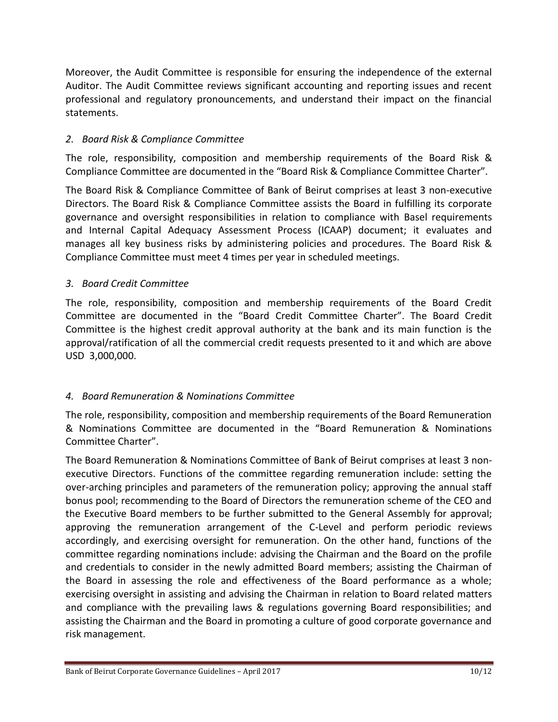Moreover, the Audit Committee is responsible for ensuring the independence of the external Auditor. The Audit Committee reviews significant accounting and reporting issues and recent professional and regulatory pronouncements, and understand their impact on the financial statements.

## *2. Board Risk & Compliance Committee*

The role, responsibility, composition and membership requirements of the Board Risk & Compliance Committee are documented in the "Board Risk & Compliance Committee Charter".

The Board Risk & Compliance Committee of Bank of Beirut comprises at least 3 non-executive Directors. The Board Risk & Compliance Committee assists the Board in fulfilling its corporate governance and oversight responsibilities in relation to compliance with Basel requirements and Internal Capital Adequacy Assessment Process (ICAAP) document; it evaluates and manages all key business risks by administering policies and procedures. The Board Risk & Compliance Committee must meet 4 times per year in scheduled meetings.

## *3. Board Credit Committee*

The role, responsibility, composition and membership requirements of the Board Credit Committee are documented in the "Board Credit Committee Charter". The Board Credit Committee is the highest credit approval authority at the bank and its main function is the approval/ratification of all the commercial credit requests presented to it and which are above USD 3,000,000.

## *4. Board Remuneration & Nominations Committee*

The role, responsibility, composition and membership requirements of the Board Remuneration & Nominations Committee are documented in the "Board Remuneration & Nominations Committee Charter".

The Board Remuneration & Nominations Committee of Bank of Beirut comprises at least 3 nonexecutive Directors. Functions of the committee regarding remuneration include: setting the over-arching principles and parameters of the remuneration policy; approving the annual staff bonus pool; recommending to the Board of Directors the remuneration scheme of the CEO and the Executive Board members to be further submitted to the General Assembly for approval; approving the remuneration arrangement of the C-Level and perform periodic reviews accordingly, and exercising oversight for remuneration. On the other hand, functions of the committee regarding nominations include: advising the Chairman and the Board on the profile and credentials to consider in the newly admitted Board members; assisting the Chairman of the Board in assessing the role and effectiveness of the Board performance as a whole; exercising oversight in assisting and advising the Chairman in relation to Board related matters and compliance with the prevailing laws & regulations governing Board responsibilities; and assisting the Chairman and the Board in promoting a culture of good corporate governance and risk management.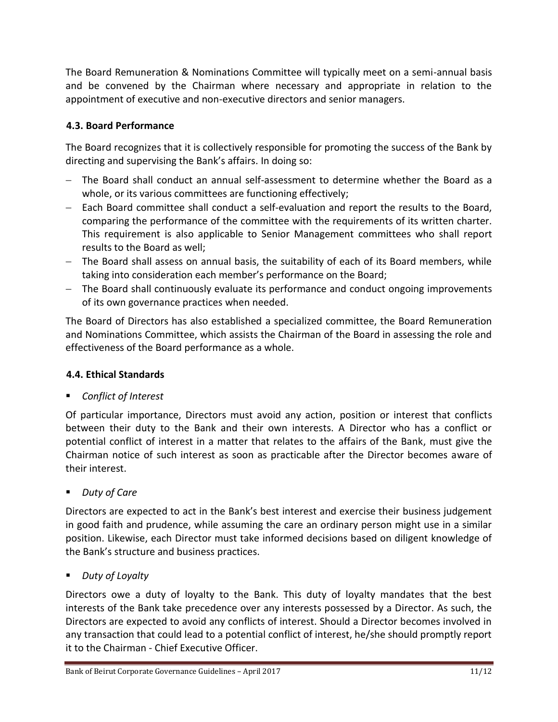The Board Remuneration & Nominations Committee will typically meet on a semi-annual basis and be convened by the Chairman where necessary and appropriate in relation to the appointment of executive and non-executive directors and senior managers.

## <span id="page-10-0"></span>**4.3. Board Performance**

The Board recognizes that it is collectively responsible for promoting the success of the Bank by directing and supervising the Bank's affairs. In doing so:

- The Board shall conduct an annual self-assessment to determine whether the Board as a whole, or its various committees are functioning effectively;
- Each Board committee shall conduct a self-evaluation and report the results to the Board, comparing the performance of the committee with the requirements of its written charter. This requirement is also applicable to Senior Management committees who shall report results to the Board as well;
- The Board shall assess on annual basis, the suitability of each of its Board members, while taking into consideration each member's performance on the Board;
- The Board shall continuously evaluate its performance and conduct ongoing improvements of its own governance practices when needed.

The Board of Directors has also established a specialized committee, the Board Remuneration and Nominations Committee, which assists the Chairman of the Board in assessing the role and effectiveness of the Board performance as a whole.

## <span id="page-10-1"></span>**4.4. Ethical Standards**

*Conflict of Interest*

Of particular importance, Directors must avoid any action, position or interest that conflicts between their duty to the Bank and their own interests. A Director who has a conflict or potential conflict of interest in a matter that relates to the affairs of the Bank, must give the Chairman notice of such interest as soon as practicable after the Director becomes aware of their interest.

## *Duty of Care*

Directors are expected to act in the Bank's best interest and exercise their business judgement in good faith and prudence, while assuming the care an ordinary person might use in a similar position. Likewise, each Director must take informed decisions based on diligent knowledge of the Bank's structure and business practices.

*Duty of Loyalty*

Directors owe a duty of loyalty to the Bank. This duty of loyalty mandates that the best interests of the Bank take precedence over any interests possessed by a Director. As such, the Directors are expected to avoid any conflicts of interest. Should a Director becomes involved in any transaction that could lead to a potential conflict of interest, he/she should promptly report it to the Chairman - Chief Executive Officer.